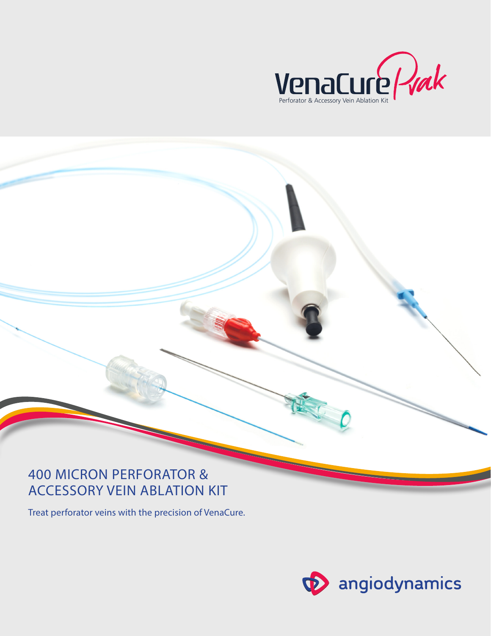

## **400 MICRON PERFORATOR & ACCESSORY VEIN ABLATION KIT**

Treat perforator veins with the precision of VenaCure.